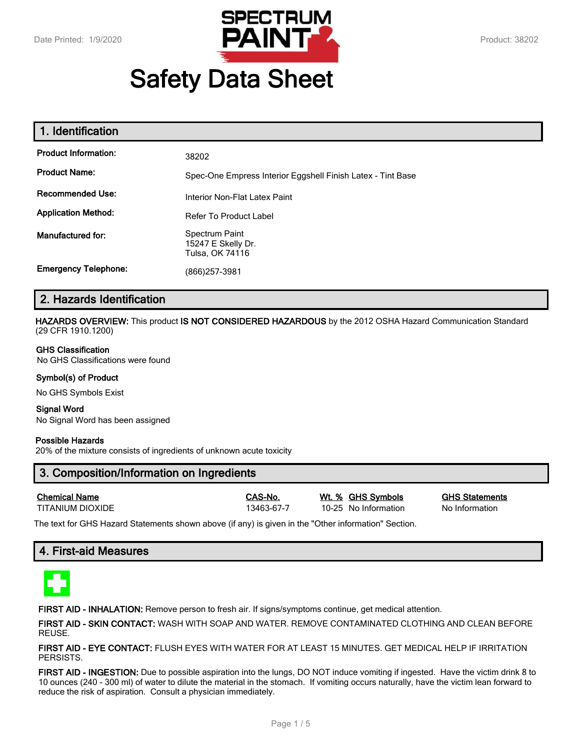

# **Safety Data Sheet**

| 1. Identification           |                                                             |  |
|-----------------------------|-------------------------------------------------------------|--|
| <b>Product Information:</b> | 38202                                                       |  |
| <b>Product Name:</b>        | Spec-One Empress Interior Eggshell Finish Latex - Tint Base |  |
| <b>Recommended Use:</b>     | Interior Non-Flat Latex Paint                               |  |
| <b>Application Method:</b>  | Refer To Product Label                                      |  |
| <b>Manufactured for:</b>    | Spectrum Paint<br>15247 E Skelly Dr.<br>Tulsa, OK 74116     |  |
| <b>Emergency Telephone:</b> | (866)257-3981                                               |  |

# **2. Hazards Identification**

**HAZARDS OVERVIEW:** This product **IS NOT CONSIDERED HAZARDOUS** by the 2012 OSHA Hazard Communication Standard (29 CFR 1910.1200)

#### **GHS Classification**

No GHS Classifications were found

#### **Symbol(s) of Product**

No GHS Symbols Exist

#### **Signal Word** No Signal Word has been assigned

#### **Possible Hazards**

20% of the mixture consists of ingredients of unknown acute toxicity

# **3. Composition/Information on Ingredients**

| <b>Chemical Name</b> |  |
|----------------------|--|
| TITANII IM DIOXIDE   |  |

13463-67-7 10-25 No Information No Information

**Chemical Name CAS-No. Wt. % GHS Symbols GHS Statements**

The text for GHS Hazard Statements shown above (if any) is given in the "Other information" Section.

# **4. First-aid Measures**



**FIRST AID - INHALATION:** Remove person to fresh air. If signs/symptoms continue, get medical attention.

**FIRST AID - SKIN CONTACT:** WASH WITH SOAP AND WATER. REMOVE CONTAMINATED CLOTHING AND CLEAN BEFORE REUSE.

**FIRST AID - EYE CONTACT:** FLUSH EYES WITH WATER FOR AT LEAST 15 MINUTES. GET MEDICAL HELP IF IRRITATION PERSISTS.

**FIRST AID - INGESTION:** Due to possible aspiration into the lungs, DO NOT induce vomiting if ingested. Have the victim drink 8 to 10 ounces (240 - 300 ml) of water to dilute the material in the stomach. If vomiting occurs naturally, have the victim lean forward to reduce the risk of aspiration. Consult a physician immediately.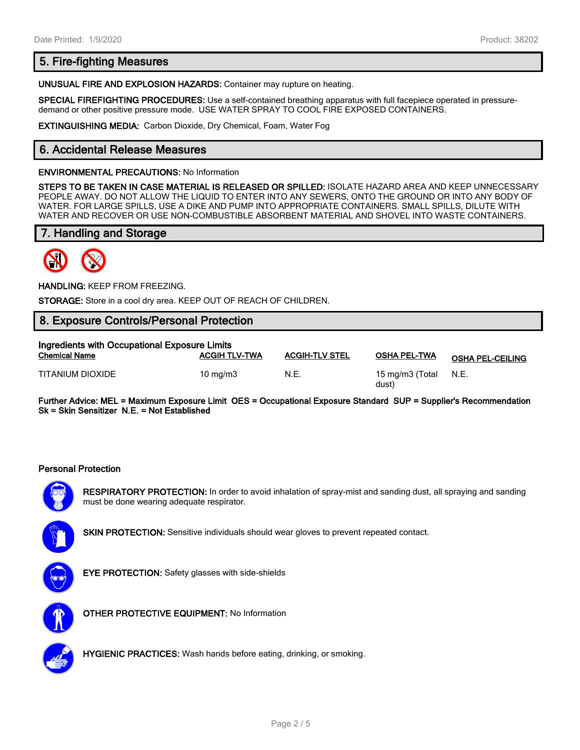# **5. Fire-fighting Measures**

**UNUSUAL FIRE AND EXPLOSION HAZARDS:** Container may rupture on heating.

**SPECIAL FIREFIGHTING PROCEDURES:** Use a self-contained breathing apparatus with full facepiece operated in pressuredemand or other positive pressure mode. USE WATER SPRAY TO COOL FIRE EXPOSED CONTAINERS.

**EXTINGUISHING MEDIA:** Carbon Dioxide, Dry Chemical, Foam, Water Fog

# **6. Accidental Release Measures**

#### **ENVIRONMENTAL PRECAUTIONS:** No Information

**STEPS TO BE TAKEN IN CASE MATERIAL IS RELEASED OR SPILLED:** ISOLATE HAZARD AREA AND KEEP UNNECESSARY PEOPLE AWAY. DO NOT ALLOW THE LIQUID TO ENTER INTO ANY SEWERS, ONTO THE GROUND OR INTO ANY BODY OF WATER. FOR LARGE SPILLS, USE A DIKE AND PUMP INTO APPROPRIATE CONTAINERS. SMALL SPILLS, DILUTE WITH WATER AND RECOVER OR USE NON-COMBUSTIBLE ABSORBENT MATERIAL AND SHOVEL INTO WASTE CONTAINERS.

# **7. Handling and Storage**



**HANDLING:** KEEP FROM FREEZING.

**STORAGE:** Store in a cool dry area. KEEP OUT OF REACH OF CHILDREN.

# **8. Exposure Controls/Personal Protection**

| Ingredients with Occupational Exposure Limits |                      |                       |                          |                         |  |
|-----------------------------------------------|----------------------|-----------------------|--------------------------|-------------------------|--|
| <b>Chemical Name</b>                          | <b>ACGIH TLV-TWA</b> | <b>ACGIH-TLV STEL</b> | <b>OSHA PEL-TWA</b>      | <b>OSHA PEL-CEILING</b> |  |
| TITANIUM DIOXIDE                              | $10 \text{ ma/m}$ 3  | N.E.                  | 15 mg/m3 (Total<br>dust) | N.E.                    |  |

**Further Advice: MEL = Maximum Exposure Limit OES = Occupational Exposure Standard SUP = Supplier's Recommendation Sk = Skin Sensitizer N.E. = Not Established**

#### **Personal Protection**



**RESPIRATORY PROTECTION:** In order to avoid inhalation of spray-mist and sanding dust, all spraying and sanding must be done wearing adequate respirator.



**SKIN PROTECTION:** Sensitive individuals should wear gloves to prevent repeated contact.



**EYE PROTECTION:** Safety glasses with side-shields



**OTHER PROTECTIVE EQUIPMENT:** No Information



**HYGIENIC PRACTICES:** Wash hands before eating, drinking, or smoking.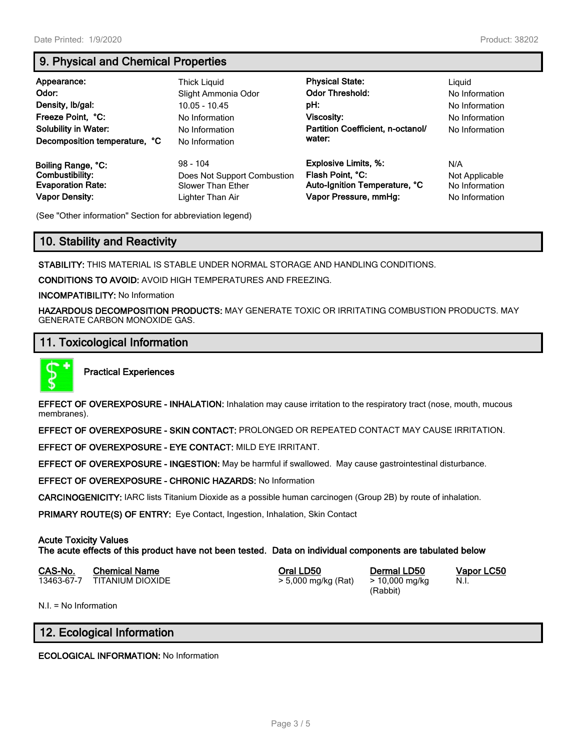# **9. Physical and Chemical Properties**

| Appearance:<br>Odor:<br>Density, Ib/gal:<br>Freeze Point, °C:<br><b>Solubility in Water:</b><br>Decomposition temperature, °C | Thick Liguid<br>Slight Ammonia Odor<br>$10.05 - 10.45$<br>No Information<br>No Information<br>No Information | <b>Physical State:</b><br><b>Odor Threshold:</b><br>pH:<br>Viscosity:<br>Partition Coefficient, n-octanol/<br>water: | Liguid<br>No Information<br>No Information<br>No Information<br>No Information |
|-------------------------------------------------------------------------------------------------------------------------------|--------------------------------------------------------------------------------------------------------------|----------------------------------------------------------------------------------------------------------------------|--------------------------------------------------------------------------------|
| Boiling Range, °C:                                                                                                            | $98 - 104$                                                                                                   | <b>Explosive Limits, %:</b>                                                                                          | N/A                                                                            |
| Combustibility:                                                                                                               | Does Not Support Combustion                                                                                  | Flash Point, °C:                                                                                                     | Not Applicable                                                                 |
| <b>Evaporation Rate:</b>                                                                                                      | Slower Than Ether                                                                                            | Auto-Ignition Temperature, °C                                                                                        | No Information                                                                 |
| <b>Vapor Density:</b>                                                                                                         | Lighter Than Air                                                                                             | Vapor Pressure, mmHg:                                                                                                | No Information                                                                 |

(See "Other information" Section for abbreviation legend)

# **10. Stability and Reactivity**

**STABILITY:** THIS MATERIAL IS STABLE UNDER NORMAL STORAGE AND HANDLING CONDITIONS.

**CONDITIONS TO AVOID:** AVOID HIGH TEMPERATURES AND FREEZING.

**INCOMPATIBILITY:** No Information

**HAZARDOUS DECOMPOSITION PRODUCTS:** MAY GENERATE TOXIC OR IRRITATING COMBUSTION PRODUCTS. MAY GENERATE CARBON MONOXIDE GAS.

# **11. Toxicological Information**



**Practical Experiences**

**EFFECT OF OVEREXPOSURE - INHALATION:** Inhalation may cause irritation to the respiratory tract (nose, mouth, mucous membranes).

**EFFECT OF OVEREXPOSURE - SKIN CONTACT:** PROLONGED OR REPEATED CONTACT MAY CAUSE IRRITATION.

**EFFECT OF OVEREXPOSURE - EYE CONTACT:** MILD EYE IRRITANT.

**EFFECT OF OVEREXPOSURE - INGESTION:** May be harmful if swallowed. May cause gastrointestinal disturbance.

**EFFECT OF OVEREXPOSURE - CHRONIC HAZARDS:** No Information

**CARCINOGENICITY:** IARC lists Titanium Dioxide as a possible human carcinogen (Group 2B) by route of inhalation.

**PRIMARY ROUTE(S) OF ENTRY:** Eye Contact, Ingestion, Inhalation, Skin Contact

# **Acute Toxicity Values**

**The acute effects of this product have not been tested. Data on individual components are tabulated below**

| CAS-No. | <b>Chemical Name</b>        | Oral LD50           | Dermal LD50    |
|---------|-----------------------------|---------------------|----------------|
|         | 13463-67-7 TITANIUM DIOXIDE | > 5,000 mg/kg (Rat) | > 10,000 mg/kg |

(Rabbit)

**CAS-No. Chemical Name Oral LD50 Dermal LD50 Vapor LC50** N.I.

N.I. = No Information

# **12. Ecological Information**

**ECOLOGICAL INFORMATION:** No Information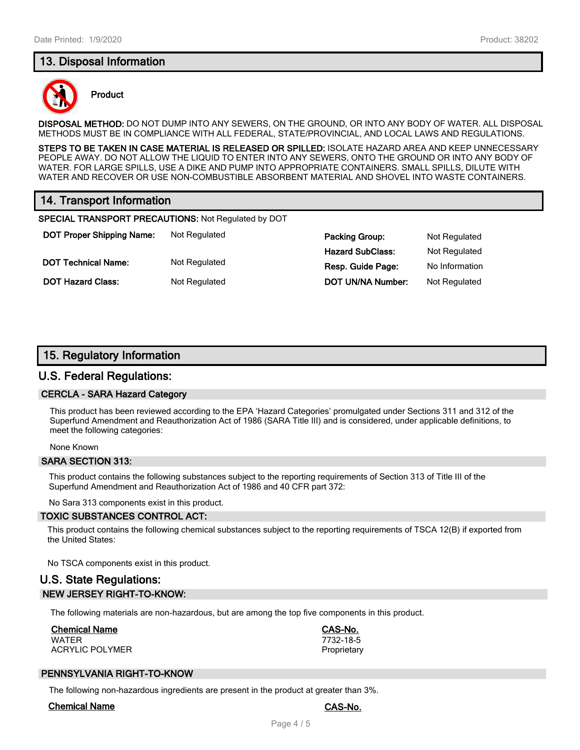# **13. Disposal Information**



#### **Product**

**DISPOSAL METHOD:** DO NOT DUMP INTO ANY SEWERS, ON THE GROUND, OR INTO ANY BODY OF WATER. ALL DISPOSAL METHODS MUST BE IN COMPLIANCE WITH ALL FEDERAL, STATE/PROVINCIAL, AND LOCAL LAWS AND REGULATIONS.

**STEPS TO BE TAKEN IN CASE MATERIAL IS RELEASED OR SPILLED:** ISOLATE HAZARD AREA AND KEEP UNNECESSARY PEOPLE AWAY. DO NOT ALLOW THE LIQUID TO ENTER INTO ANY SEWERS, ONTO THE GROUND OR INTO ANY BODY OF WATER. FOR LARGE SPILLS, USE A DIKE AND PUMP INTO APPROPRIATE CONTAINERS. SMALL SPILLS, DILUTE WITH WATER AND RECOVER OR USE NON-COMBUSTIBLE ABSORBENT MATERIAL AND SHOVEL INTO WASTE CONTAINERS.

# **14. Transport Information**

**SPECIAL TRANSPORT PRECAUTIONS:** Not Regulated by DOT

**DOT Proper Shipping Name:** Not Regulated **Packing Group:** Not Regulated **Packing Group:** Not Regulated **DOT Technical Name:** Not Regulated **Resp. Guide Page:** No Information

**Hazard SubClass:** Not Regulated **DOT Hazard Class:** Not Regulated **DOT UN/NA Number:** Not Regulated

# **15. Regulatory Information**

# **U.S. Federal Regulations:**

#### **CERCLA - SARA Hazard Category**

This product has been reviewed according to the EPA 'Hazard Categories' promulgated under Sections 311 and 312 of the Superfund Amendment and Reauthorization Act of 1986 (SARA Title III) and is considered, under applicable definitions, to meet the following categories:

None Known

#### **SARA SECTION 313:**

This product contains the following substances subject to the reporting requirements of Section 313 of Title III of the Superfund Amendment and Reauthorization Act of 1986 and 40 CFR part 372:

No Sara 313 components exist in this product.

#### **TOXIC SUBSTANCES CONTROL ACT:**

This product contains the following chemical substances subject to the reporting requirements of TSCA 12(B) if exported from the United States:

No TSCA components exist in this product.

# **U.S. State Regulations: NEW JERSEY RIGHT-TO-KNOW:**

The following materials are non-hazardous, but are among the top five components in this product.

# **Chemical Name CAS-No.**

WATER 7732-18-5 ACRYLIC POLYMER **PROPRIET ACRYLIC POLYMER** 

# **PENNSYLVANIA RIGHT-TO-KNOW**

The following non-hazardous ingredients are present in the product at greater than 3%.

#### **Chemical Name CAS-No.**